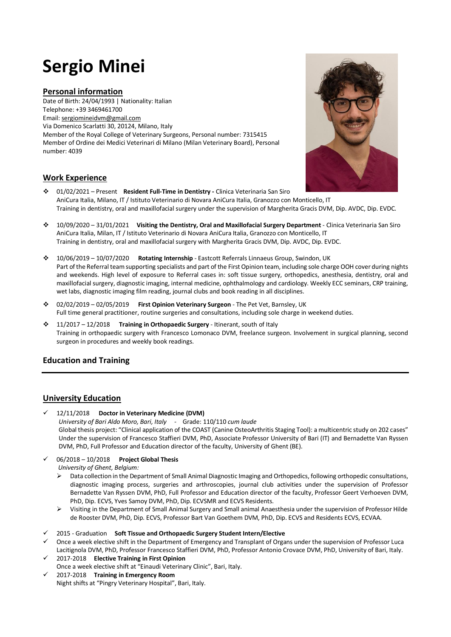# **Sergio Minei**

### **Personal information**

Date of Birth: 24/04/1993 | Nationality: Italian Telephone: +39 3469461700 Email[: sergiomineidvm@gmail.com](mailto:sergiomineidvm@gmail.com)  Via Domenico Scarlatti 30, 20124, Milano, Italy Member of the Royal College of Veterinary Surgeons, Personal number: 7315415 Member of Ordine dei Medici Veterinari di Milano (Milan Veterinary Board), Personal number: 4039

# **Work Experience**



- 01/02/2021 Present **Resident Full-Time in Dentistry -** Clinica Veterinaria San Siro AniCura Italia, Milano, IT / Istituto Veterinario di Novara AniCura Italia, Granozzo con Monticello, IT Training in dentistry, oral and maxillofacial surgery under the supervision of Margherita Gracis DVM, Dip. AVDC, Dip. EVDC.
- 10/09/2020 31/01/2021 **Visiting the Dentistry, Oral and Maxillofacial Surgery Department** Clinica Veterinaria San Siro AniCura Italia, Milan, IT / Istituto Veterinario di Novara AniCura Italia, Granozzo con Monticello, IT Training in dentistry, oral and maxillofacial surgery with Margherita Gracis DVM, Dip. AVDC, Dip. EVDC.
- 10/06/2019 10/07/2020 **Rotating Internship**  Eastcott Referrals Linnaeus Group, Swindon, UK Part of the Referral team supporting specialists and part of the First Opinion team, including sole charge OOH cover during nights and weekends. High level of exposure to Referral cases in: soft tissue surgery, orthopedics, anesthesia, dentistry, oral and maxillofacial surgery, diagnostic imaging, internal medicine, ophthalmology and cardiology. Weekly ECC seminars, CRP training, wet labs, diagnostic imaging film reading, journal clubs and book reading in all disciplines.
- 02/02/2019 02/05/2019 **First Opinion Veterinary Surgeon**  The Pet Vet, Barnsley, UK Full time general practitioner, routine surgeries and consultations, including sole charge in weekend duties.
- 11/2017 12/2018 **Training in Orthopaedic Surgery**  Itinerant, south of Italy Training in orthopaedic surgery with Francesco Lomonaco DVM, freelance surgeon. Involvement in surgical planning, second surgeon in procedures and weekly book readings.

# **Education and Training**

## **University Education**

- 12/11/2018 **Doctor in Veterinary Medicine (DVM)** *University of Bari Aldo Moro, Bari, Italy -* Grade: 110/110 *cum laude* Global thesis project: "Clinical application of the COAST (Canine OsteoArthritis Staging Tool): a multicentric study on 202 cases" Under the supervision of Francesco Staffieri DVM, PhD, Associate Professor University of Bari (IT) and Bernadette Van Ryssen DVM, PhD, Full Professor and Education director of the faculty, University of Ghent (BE).
- 06/2018 10/2018 **Project Global Thesis**
	- *University of Ghent, Belgium:*
	- $\triangleright$  Data collection in the Department of Small Animal Diagnostic Imaging and Orthopedics, following orthopedic consultations, diagnostic imaging process, surgeries and arthroscopies, journal club activities under the supervision of Professor Bernadette Van Ryssen DVM, PhD, Full Professor and Education director of the faculty, Professor Geert Verhoeven DVM, PhD, Dip. ECVS, Yves Samoy DVM, PhD, Dip. ECVSMR and ECVS Residents.
	- $\triangleright$  Visiting in the Department of Small Animal Surgery and Small animal Anaesthesia under the supervision of Professor Hilde de Rooster DVM, PhD, Dip. ECVS, Professor Bart Van Goethem DVM, PhD, Dip. ECVS and Residents ECVS, ECVAA.
- 2015 Graduation **Soft Tissue and Orthopaedic Surgery Student Intern/Elective**
- $\checkmark$  Once a week elective shift in the Department of Emergency and Transplant of Organs under the supervision of Professor Luca Lacitignola DVM, PhD, Professor Francesco Staffieri DVM, PhD, Professor Antonio Crovace DVM, PhD, University of Bari, Italy.
- 2017-2018 **Elective Training in First Opinion**  Once a week elective shift at "Einaudi Veterinary Clinic", Bari, Italy.
- 2017-2018 **Training in Emergency Room** Night shifts at "Pingry Veterinary Hospital", Bari, Italy.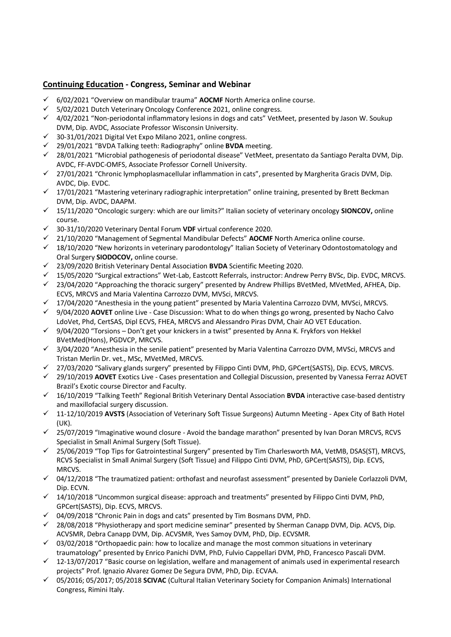## **Continuing Education - Congress, Seminar and Webinar**

- 6/02/2021 "Overview on mandibular trauma" **AOCMF** North America online course.
- $\checkmark$  5/02/2021 Dutch Veterinary Oncology Conference 2021, online congress.
- 4/02/2021 "Non-periodontal inflammatory lesions in dogs and cats" VetMeet, presented by Jason W. Soukup DVM, Dip. AVDC, Associate Professor Wisconsin University.
- $\checkmark$  30-31/01/2021 Digital Vet Expo Milano 2021, online congress.
- 29/01/2021 "BVDA Talking teeth: Radiography" online **BVDA** meeting.
- 28/01/2021 "Microbial pathogenesis of periodontal disease" VetMeet, presentato da Santiago Peralta DVM, Dip. AVDC, FF-AVDC-OMFS, Associate Professor Cornell University.
- $\checkmark$  27/01/2021 "Chronic lymphoplasmacellular inflammation in cats", presented by Margherita Gracis DVM, Dip. AVDC, Dip. EVDC.
- $\checkmark$  17/01/2021 "Mastering veterinary radiographic interpretation" online training, presented by Brett Beckman DVM, Dip. AVDC, DAAPM.
- 15/11/2020 "Oncologic surgery: which are our limits?" Italian society of veterinary oncology **SIONCOV,** online course.
- 30-31/10/2020 Veterinary Dental Forum **VDF** virtual conference 2020.
- 21/10/2020 "Management of Segmental Mandibular Defects" **AOCMF** North America online course.
- $\checkmark$  18/10/2020 "New horizonts in veterinary parodontology" Italian Society of Veterinary Odontostomatology and Oral Surgery **SIODOCOV,** online course.
- 23/09/2020 British Veterinary Dental Association **BVDA** Scientific Meeting 2020.
- 15/05/2020 "Surgical extractions" Wet-Lab, Eastcott Referrals, instructor: Andrew Perry BVSc, Dip. EVDC, MRCVS.
- 23/04/2020 "Approaching the thoracic surgery" presented by Andrew Phillips BVetMed, MVetMed, AFHEA, Dip. ECVS, MRCVS and Maria Valentina Carrozzo DVM, MVSci, MRCVS.
- $\checkmark$  17/04/2020 "Anesthesia in the young patient" presented by Maria Valentina Carrozzo DVM, MVSci, MRCVS.
- 9/04/2020 **AOVET** online Live Case Discussion: What to do when things go wrong, presented by Nacho Calvo LdoVet, Phd, CertSAS, Dipl ECVS, FHEA, MRCVS and Alessandro Piras DVM, Chair AO VET Education.
- $\checkmark$  9/04/2020 "Torsions Don't get your knickers in a twist" presented by Anna K. Frykfors von Hekkel BVetMed(Hons), PGDVCP, MRCVS.
- 3/04/2020 "Anesthesia in the senile patient" presented by Maria Valentina Carrozzo DVM, MVSci, MRCVS and Tristan Merlin Dr. vet., MSc, MVetMed, MRCVS.
- 27/03/2020 "Salivary glands surgery" presented by Filippo Cinti DVM, PhD, GPCert(SASTS), Dip. ECVS, MRCVS.
- 29/10/2019 **AOVET** Exotics Live Cases presentation and Collegial Discussion, presented by Vanessa Ferraz AOVET Brazil's Exotic course Director and Faculty.
- 16/10/2019 "Talking Teeth" Regional British Veterinary Dental Association **BVDA** interactive case-based dentistry and maxillofacial surgery discussion.
- 11-12/10/2019 **AVSTS** (Association of Veterinary Soft Tissue Surgeons) Autumn Meeting Apex City of Bath Hotel (UK).
- 25/07/2019 "Imaginative wound closure Avoid the bandage marathon" presented by Ivan Doran MRCVS, RCVS Specialist in Small Animal Surgery (Soft Tissue).
- 25/06/2019 "Top Tips for Gatrointestinal Surgery" presented by Tim Charlesworth MA, VetMB, DSAS(ST), MRCVS, RCVS Specialist in Small Animal Surgery (Soft Tissue) and Filippo Cinti DVM, PhD, GPCert(SASTS), Dip. ECVS, MRCVS.
- 04/12/2018 "The traumatized patient: orthofast and neurofast assessment" presented by Daniele Corlazzoli DVM, Dip. ECVN.
- $\checkmark$  14/10/2018 "Uncommon surgical disease: approach and treatments" presented by Filippo Cinti DVM, PhD, GPCert(SASTS), Dip. ECVS, MRCVS.
- $\checkmark$  04/09/2018 "Chronic Pain in dogs and cats" presented by Tim Bosmans DVM, PhD.
- $\checkmark$  28/08/2018 "Physiotherapy and sport medicine seminar" presented by Sherman Canapp DVM, Dip. ACVS, Dip. ACVSMR, Debra Canapp DVM, Dip. ACVSMR, Yves Samoy DVM, PhD, Dip. ECVSMR.
- $\checkmark$  03/02/2018 "Orthopaedic pain: how to localize and manage the most common situations in veterinary traumatology" presented by Enrico Panichi DVM, PhD, Fulvio Cappellari DVM, PhD, Francesco Pascali DVM.
- $\checkmark$  12-13/07/2017 "Basic course on legislation, welfare and management of animals used in experimental research projects" Prof. Ignazio Alvarez Gomez De Segura DVM, PhD, Dip. ECVAA.
- 05/2016; 05/2017; 05/2018 **SCIVAC** (Cultural Italian Veterinary Society for Companion Animals) International Congress, Rimini Italy.